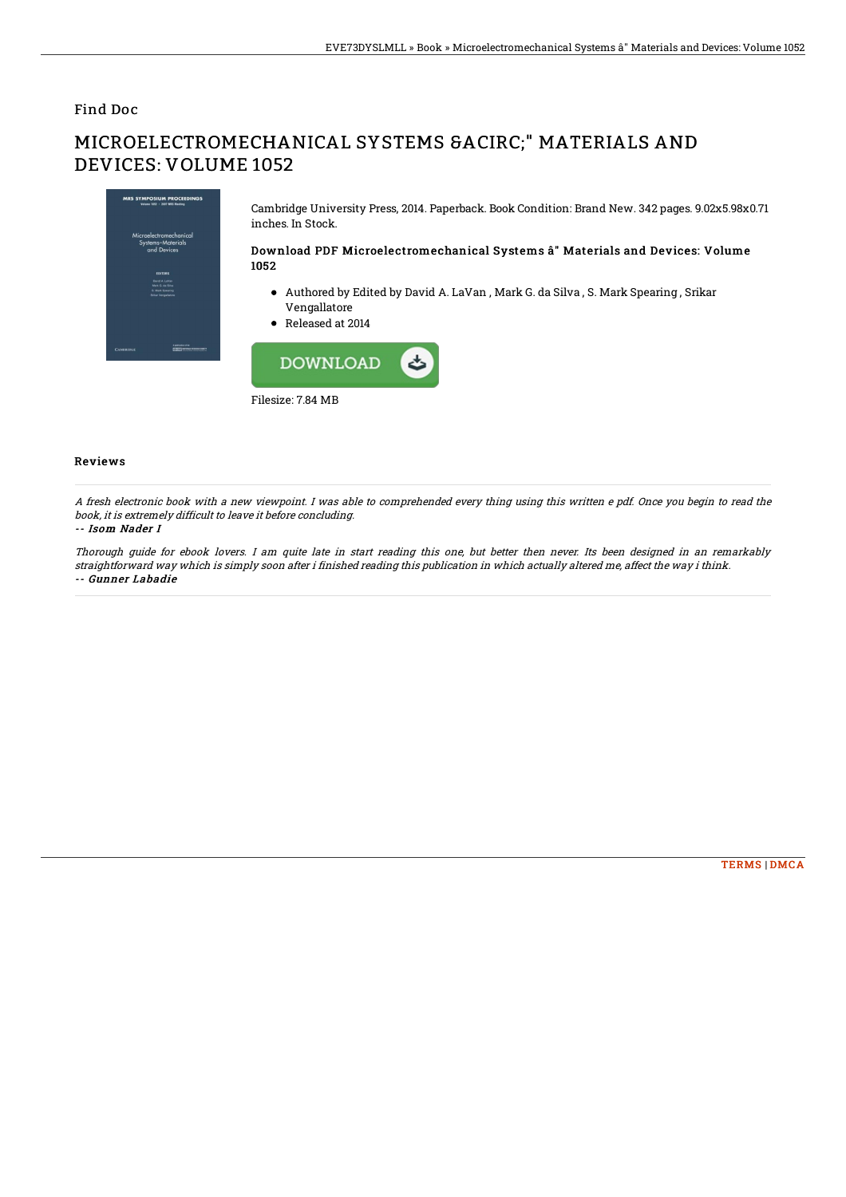### Find Doc

# MICROELECTROMECHANICAL SYSTEMS Â" MATERIALS AND DEVICES: VOLUME 1052



Cambridge University Press, 2014. Paperback. Book Condition: Brand New. 342 pages. 9.02x5.98x0.71 inches. In Stock.

#### Download PDF Microelect romechanical Systems â" Materials and Devices: Volume 1052

- Authored by Edited by David A. LaVan , Mark G. da Silva , S. Mark Spearing , Srikar Vengallatore
- Released at 2014



#### Reviews

A fresh electronic book with <sup>a</sup> new viewpoint. I was able to comprehended every thing using this written <sup>e</sup> pdf. Once you begin to read the book, it is extremely difficult to leave it before concluding.

#### -- Isom Nader I

Thorough guide for ebook lovers. I am quite late in start reading this one, but better then never. Its been designed in an remarkably straightforward way which is simply soon after i finished reading this publication in which actually altered me, affect the way i think. -- Gunner Labadie